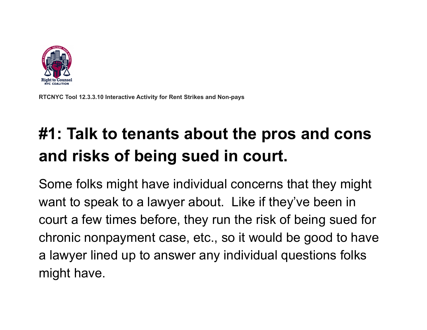

**RTCNYC Tool 12.3.3.10 Interactive Activity for Rent Strikes and Non-pays**

# **#1: Talk to tenants about the pros and cons and risks of being sued in court.**

Some folks might have individual concerns that they might want to speak to a lawyer about. Like if they've been in court a few times before, they run the risk of being sued for chronic nonpayment case, etc., so it would be good to have a lawyer lined up to answer any individual questions folks might have.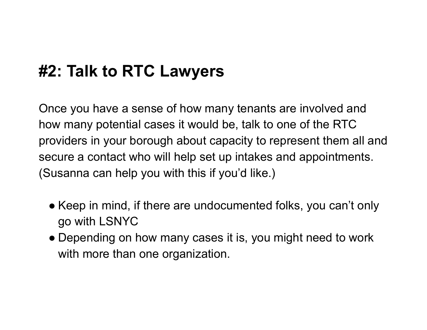#### **#2: Talk to RTC Lawyers**

Once you have a sense of how many tenants are involved and how many potential cases it would be, talk to one of the RTC providers in your borough about capacity to represent them all and secure a contact who will help set up intakes and appointments. (Susanna can help you with this if you'd like.)

- Keep in mind, if there are undocumented folks, you can't only go with LSNYC
- Depending on how many cases it is, you might need to work with more than one organization.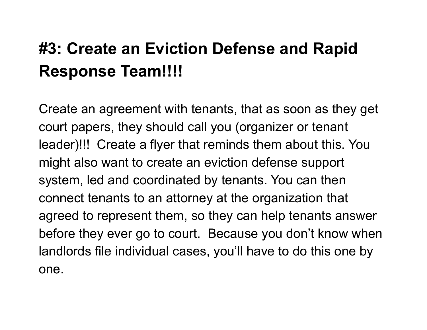## **#3: Create an Eviction Defense and Rapid Response Team!!!!**

Create an agreement with tenants, that as soon as they get court papers, they should call you (organizer or tenant leader)!!! Create a flyer that reminds them about this. You might also want to create an eviction defense support system, led and coordinated by tenants. You can then connect tenants to an attorney at the organization that agreed to represent them, so they can help tenants answer before they ever go to court. Because you don't know when landlords file individual cases, you'll have to do this one by one.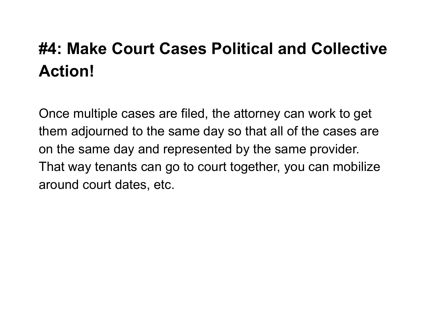## **#4: Make Court Cases Political and Collective Action!**

Once multiple cases are filed, the attorney can work to get them adjourned to the same day so that all of the cases are on the same day and represented by the same provider. That way tenants can go to court together, you can mobilize around court dates, etc.